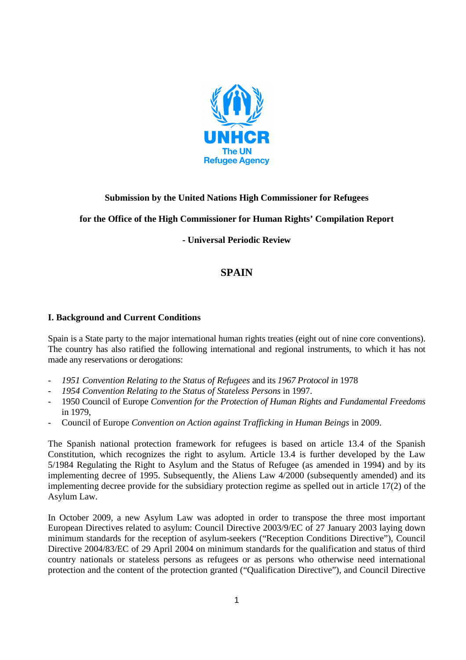

## **Submission by the United Nations High Commissioner for Refugees**

## **for the Office of the High Commissioner for Human Rights' Compilation Report**

**- Universal Periodic Review** 

# **SPAIN**

#### **I. Background and Current Conditions**

Spain is a State party to the major international human rights treaties (eight out of nine core conventions). The country has also ratified the following international and regional instruments, to which it has not made any reservations or derogations:

- *1951 Convention Relating to the Status of Refugees* and its *1967 Protocol in* 1978
- *1954 Convention Relating to the Status of Stateless Persons* in 1997.
- 1950 Council of Europe *Convention for the Protection of Human Rights and Fundamental Freedoms*  in 1979,
- Council of Europe *Convention on Action against Trafficking in Human Beings* in 2009.

The Spanish national protection framework for refugees is based on article 13.4 of the Spanish Constitution, which recognizes the right to asylum. Article 13.4 is further developed by the Law 5/1984 Regulating the Right to Asylum and the Status of Refugee (as amended in 1994) and by its implementing decree of 1995. Subsequently, the Aliens Law 4/2000 (subsequently amended) and its implementing decree provide for the subsidiary protection regime as spelled out in article 17(2) of the Asylum Law.

In October 2009, a new Asylum Law was adopted in order to transpose the three most important European Directives related to asylum: Council Directive 2003/9/EC of 27 January 2003 laying down minimum standards for the reception of asylum-seekers ("Reception Conditions Directive"), Council Directive 2004/83/EC of 29 April 2004 on minimum standards for the qualification and status of third country nationals or stateless persons as refugees or as persons who otherwise need international protection and the content of the protection granted ("Qualification Directive"), and Council Directive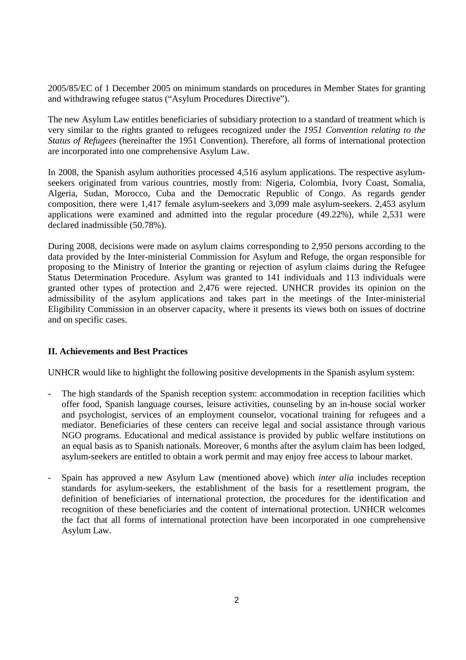2005/85/EC of 1 December 2005 on minimum standards on procedures in Member States for granting and withdrawing refugee status ("Asylum Procedures Directive").

The new Asylum Law entitles beneficiaries of subsidiary protection to a standard of treatment which is very similar to the rights granted to refugees recognized under the *1951 Convention relating to the Status of Refugees* (hereinafter the 1951 Convention). Therefore, all forms of international protection are incorporated into one comprehensive Asylum Law.

In 2008, the Spanish asylum authorities processed 4,516 asylum applications. The respective asylumseekers originated from various countries, mostly from: Nigeria, Colombia, Ivory Coast, Somalia, Algeria, Sudan, Morocco, Cuba and the Democratic Republic of Congo. As regards gender composition, there were 1,417 female asylum-seekers and 3,099 male asylum-seekers. 2,453 asylum applications were examined and admitted into the regular procedure (49.22%), while 2,531 were declared inadmissible (50.78%).

During 2008, decisions were made on asylum claims corresponding to 2,950 persons according to the data provided by the Inter-ministerial Commission for Asylum and Refuge, the organ responsible for proposing to the Ministry of Interior the granting or rejection of asylum claims during the Refugee Status Determination Procedure. Asylum was granted to 141 individuals and 113 individuals were granted other types of protection and 2,476 were rejected. UNHCR provides its opinion on the admissibility of the asylum applications and takes part in the meetings of the Inter-ministerial Eligibility Commission in an observer capacity, where it presents its views both on issues of doctrine and on specific cases.

## **II. Achievements and Best Practices**

UNHCR would like to highlight the following positive developments in the Spanish asylum system:

- The high standards of the Spanish reception system: accommodation in reception facilities which offer food, Spanish language courses, leisure activities, counseling by an in-house social worker and psychologist, services of an employment counselor, vocational training for refugees and a mediator. Beneficiaries of these centers can receive legal and social assistance through various NGO programs. Educational and medical assistance is provided by public welfare institutions on an equal basis as to Spanish nationals. Moreover, 6 months after the asylum claim has been lodged, asylum-seekers are entitled to obtain a work permit and may enjoy free access to labour market.
- Spain has approved a new Asylum Law (mentioned above) which *inter alia* includes reception standards for asylum-seekers, the establishment of the basis for a resettlement program, the definition of beneficiaries of international protection, the procedures for the identification and recognition of these beneficiaries and the content of international protection. UNHCR welcomes the fact that all forms of international protection have been incorporated in one comprehensive Asylum Law.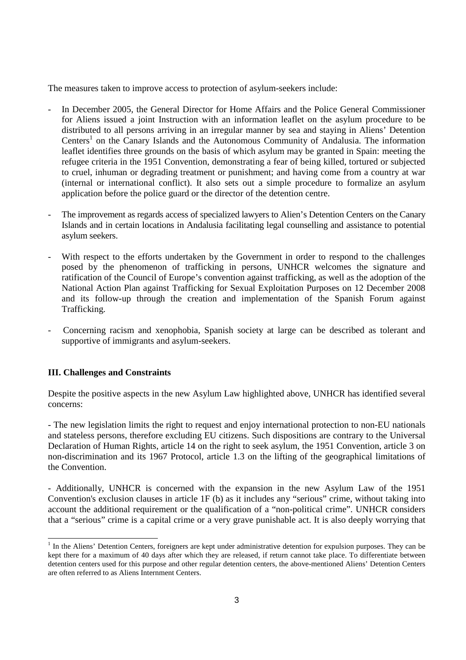The measures taken to improve access to protection of asylum-seekers include:

- In December 2005, the General Director for Home Affairs and the Police General Commissioner for Aliens issued a joint Instruction with an information leaflet on the asylum procedure to be distributed to all persons arriving in an irregular manner by sea and staying in Aliens' Detention Centers<sup>1</sup> on the Canary Islands and the Autonomous Community of Andalusia. The information leaflet identifies three grounds on the basis of which asylum may be granted in Spain: meeting the refugee criteria in the 1951 Convention, demonstrating a fear of being killed, tortured or subjected to cruel, inhuman or degrading treatment or punishment; and having come from a country at war (internal or international conflict). It also sets out a simple procedure to formalize an asylum application before the police guard or the director of the detention centre.
- The improvement as regards access of specialized lawyers to Alien's Detention Centers on the Canary Islands and in certain locations in Andalusia facilitating legal counselling and assistance to potential asylum seekers.
- With respect to the efforts undertaken by the Government in order to respond to the challenges posed by the phenomenon of trafficking in persons, UNHCR welcomes the signature and ratification of the Council of Europe's convention against trafficking, as well as the adoption of the National Action Plan against Trafficking for Sexual Exploitation Purposes on 12 December 2008 and its follow-up through the creation and implementation of the Spanish Forum against Trafficking.
- Concerning racism and xenophobia, Spanish society at large can be described as tolerant and supportive of immigrants and asylum-seekers.

## **III. Challenges and Constraints**

Despite the positive aspects in the new Asylum Law highlighted above, UNHCR has identified several concerns:

- The new legislation limits the right to request and enjoy international protection to non-EU nationals and stateless persons, therefore excluding EU citizens. Such dispositions are contrary to the Universal Declaration of Human Rights, article 14 on the right to seek asylum, the 1951 Convention, article 3 on non-discrimination and its 1967 Protocol, article 1.3 on the lifting of the geographical limitations of the Convention.

- Additionally, UNHCR is concerned with the expansion in the new Asylum Law of the 1951 Convention's exclusion clauses in article 1F (b) as it includes any "serious" crime, without taking into account the additional requirement or the qualification of a "non-political crime". UNHCR considers that a "serious" crime is a capital crime or a very grave punishable act. It is also deeply worrying that

<sup>&</sup>lt;sup>1</sup> In the Aliens' Detention Centers, foreigners are kept under administrative detention for expulsion purposes. They can be kept there for a maximum of 40 days after which they are released, if return cannot take place. To differentiate between detention centers used for this purpose and other regular detention centers, the above-mentioned Aliens' Detention Centers are often referred to as Aliens Internment Centers.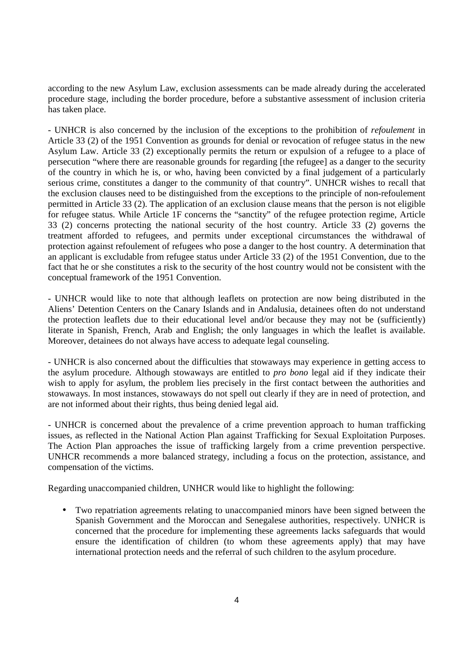according to the new Asylum Law, exclusion assessments can be made already during the accelerated procedure stage, including the border procedure, before a substantive assessment of inclusion criteria has taken place.

- UNHCR is also concerned by the inclusion of the exceptions to the prohibition of *refoulement* in Article 33 (2) of the 1951 Convention as grounds for denial or revocation of refugee status in the new Asylum Law. Article 33 (2) exceptionally permits the return or expulsion of a refugee to a place of persecution "where there are reasonable grounds for regarding [the refugee] as a danger to the security of the country in which he is, or who, having been convicted by a final judgement of a particularly serious crime, constitutes a danger to the community of that country". UNHCR wishes to recall that the exclusion clauses need to be distinguished from the exceptions to the principle of non-refoulement permitted in Article 33 (2). The application of an exclusion clause means that the person is not eligible for refugee status. While Article 1F concerns the "sanctity" of the refugee protection regime, Article 33 (2) concerns protecting the national security of the host country. Article 33 (2) governs the treatment afforded to refugees, and permits under exceptional circumstances the withdrawal of protection against refoulement of refugees who pose a danger to the host country. A determination that an applicant is excludable from refugee status under Article 33 (2) of the 1951 Convention, due to the fact that he or she constitutes a risk to the security of the host country would not be consistent with the conceptual framework of the 1951 Convention.

- UNHCR would like to note that although leaflets on protection are now being distributed in the Aliens' Detention Centers on the Canary Islands and in Andalusia, detainees often do not understand the protection leaflets due to their educational level and/or because they may not be (sufficiently) literate in Spanish, French, Arab and English; the only languages in which the leaflet is available. Moreover, detainees do not always have access to adequate legal counseling.

- UNHCR is also concerned about the difficulties that stowaways may experience in getting access to the asylum procedure. Although stowaways are entitled to *pro bono* legal aid if they indicate their wish to apply for asylum, the problem lies precisely in the first contact between the authorities and stowaways. In most instances, stowaways do not spell out clearly if they are in need of protection, and are not informed about their rights, thus being denied legal aid.

- UNHCR is concerned about the prevalence of a crime prevention approach to human trafficking issues, as reflected in the National Action Plan against Trafficking for Sexual Exploitation Purposes. The Action Plan approaches the issue of trafficking largely from a crime prevention perspective. UNHCR recommends a more balanced strategy, including a focus on the protection, assistance, and compensation of the victims.

Regarding unaccompanied children, UNHCR would like to highlight the following:

• Two repatriation agreements relating to unaccompanied minors have been signed between the Spanish Government and the Moroccan and Senegalese authorities, respectively. UNHCR is concerned that the procedure for implementing these agreements lacks safeguards that would ensure the identification of children (to whom these agreements apply) that may have international protection needs and the referral of such children to the asylum procedure.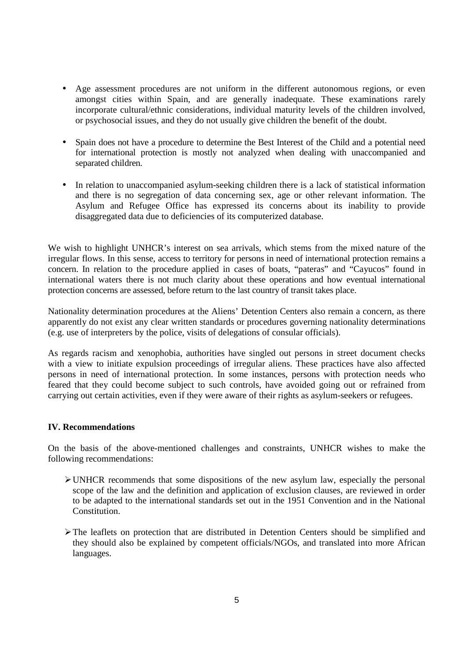- Age assessment procedures are not uniform in the different autonomous regions, or even amongst cities within Spain, and are generally inadequate. These examinations rarely incorporate cultural/ethnic considerations, individual maturity levels of the children involved, or psychosocial issues, and they do not usually give children the benefit of the doubt.
- Spain does not have a procedure to determine the Best Interest of the Child and a potential need for international protection is mostly not analyzed when dealing with unaccompanied and separated children.
- In relation to unaccompanied asylum-seeking children there is a lack of statistical information and there is no segregation of data concerning sex, age or other relevant information. The Asylum and Refugee Office has expressed its concerns about its inability to provide disaggregated data due to deficiencies of its computerized database.

We wish to highlight UNHCR's interest on sea arrivals, which stems from the mixed nature of the irregular flows. In this sense, access to territory for persons in need of international protection remains a concern. In relation to the procedure applied in cases of boats, "pateras" and "Cayucos" found in international waters there is not much clarity about these operations and how eventual international protection concerns are assessed, before return to the last country of transit takes place.

Nationality determination procedures at the Aliens' Detention Centers also remain a concern, as there apparently do not exist any clear written standards or procedures governing nationality determinations (e.g. use of interpreters by the police, visits of delegations of consular officials).

As regards racism and xenophobia, authorities have singled out persons in street document checks with a view to initiate expulsion proceedings of irregular aliens. These practices have also affected persons in need of international protection. In some instances, persons with protection needs who feared that they could become subject to such controls, have avoided going out or refrained from carrying out certain activities, even if they were aware of their rights as asylum-seekers or refugees.

## **IV. Recommendations**

On the basis of the above-mentioned challenges and constraints, UNHCR wishes to make the following recommendations:

- $\triangleright$  UNHCR recommends that some dispositions of the new asylum law, especially the personal scope of the law and the definition and application of exclusion clauses, are reviewed in order to be adapted to the international standards set out in the 1951 Convention and in the National Constitution.
- $\triangleright$  The leaflets on protection that are distributed in Detention Centers should be simplified and they should also be explained by competent officials/NGOs, and translated into more African languages.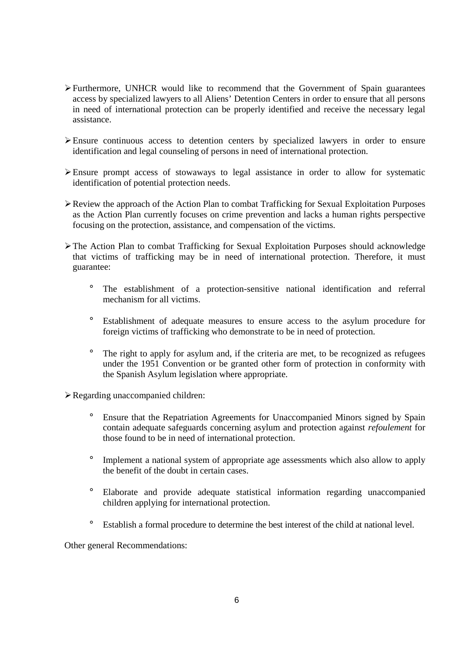- $\triangleright$  Furthermore, UNHCR would like to recommend that the Government of Spain guarantees access by specialized lawyers to all Aliens' Detention Centers in order to ensure that all persons in need of international protection can be properly identified and receive the necessary legal assistance.
- Ensure continuous access to detention centers by specialized lawyers in order to ensure identification and legal counseling of persons in need of international protection.
- Ensure prompt access of stowaways to legal assistance in order to allow for systematic identification of potential protection needs.
- $\triangleright$  Review the approach of the Action Plan to combat Trafficking for Sexual Exploitation Purposes as the Action Plan currently focuses on crime prevention and lacks a human rights perspective focusing on the protection, assistance, and compensation of the victims.
- $\triangleright$  The Action Plan to combat Trafficking for Sexual Exploitation Purposes should acknowledge that victims of trafficking may be in need of international protection. Therefore, it must guarantee:
	- ° The establishment of a protection-sensitive national identification and referral mechanism for all victims.
	- ° Establishment of adequate measures to ensure access to the asylum procedure for foreign victims of trafficking who demonstrate to be in need of protection.
	- ° The right to apply for asylum and, if the criteria are met, to be recognized as refugees under the 1951 Convention or be granted other form of protection in conformity with the Spanish Asylum legislation where appropriate.

Regarding unaccompanied children:

- ° Ensure that the Repatriation Agreements for Unaccompanied Minors signed by Spain contain adequate safeguards concerning asylum and protection against *refoulement* for those found to be in need of international protection.
- ° Implement a national system of appropriate age assessments which also allow to apply the benefit of the doubt in certain cases.
- ° Elaborate and provide adequate statistical information regarding unaccompanied children applying for international protection.
- ° Establish a formal procedure to determine the best interest of the child at national level.

Other general Recommendations: